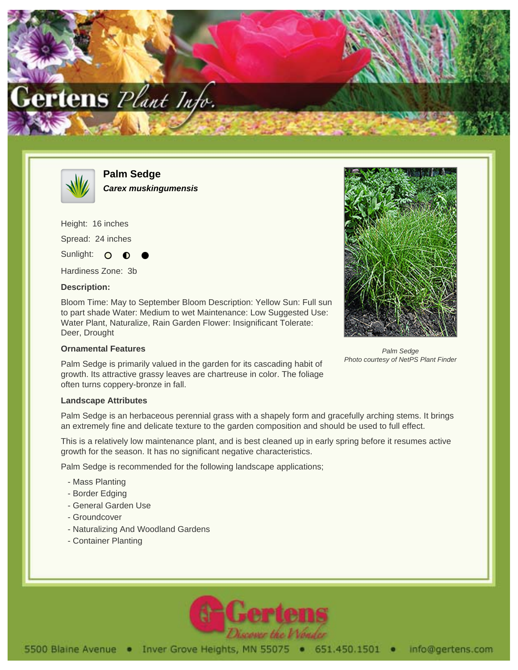



**Palm Sedge Carex muskingumensis**

Height: 16 inches

Spread: 24 inches

Sunlight: O

Hardiness Zone: 3b

## **Description:**

Bloom Time: May to September Bloom Description: Yellow Sun: Full sun to part shade Water: Medium to wet Maintenance: Low Suggested Use: Water Plant, Naturalize, Rain Garden Flower: Insignificant Tolerate: Deer, Drought

## **Ornamental Features**

Palm Sedge is primarily valued in the garden for its cascading habit of growth. Its attractive grassy leaves are chartreuse in color. The foliage often turns coppery-bronze in fall.

## **Landscape Attributes**

Palm Sedge is an herbaceous perennial grass with a shapely form and gracefully arching stems. It brings an extremely fine and delicate texture to the garden composition and should be used to full effect.

This is a relatively low maintenance plant, and is best cleaned up in early spring before it resumes active growth for the season. It has no significant negative characteristics.

Palm Sedge is recommended for the following landscape applications;

- Mass Planting
- Border Edging
- General Garden Use
- Groundcover
- Naturalizing And Woodland Gardens
- Container Planting



Palm Sedge Photo courtesy of NetPS Plant Finder